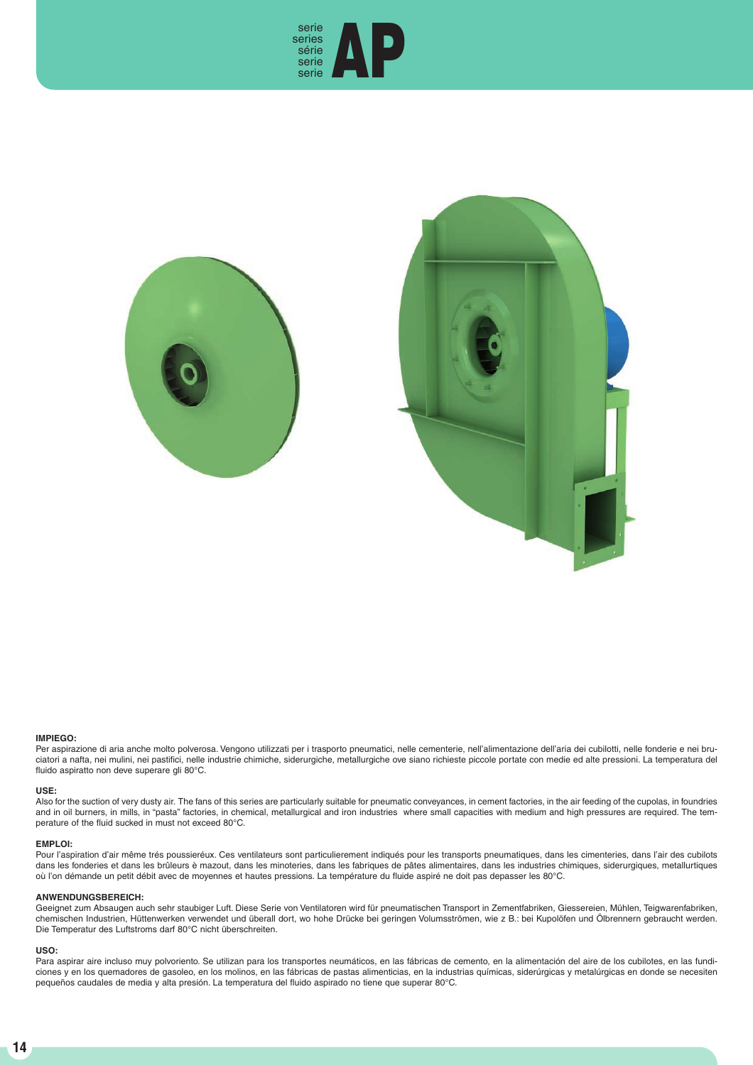





# **IMPIEGO:**

Per aspirazione di aria anche molto polverosa. Vengono utilizzati per i trasporto pneumatici, nelle cementerie, nell'alimentazione dell'aria dei cubilotti, nelle fonderie e nei bruciatori a nafta, nei mulini, nei pastifici, nelle industrie chimiche, siderurgiche, metallurgiche ove siano richieste piccole portate con medie ed alte pressioni. La temperatura del fluido aspiratto non deve superare gli 80°C.

### **USE:**

Also for the suction of very dusty air. The fans of this series are particularly suitable for pneumatic conveyances, in cement factories, in the air feeding of the cupolas, in foundries and in oil burners, in mills, in "pasta" factories, in chemical, metallurgical and iron industries where small capacities with medium and high pressures are required. The temperature of the fluid sucked in must not exceed 80°C.

#### **EMPLOI:**

Pour l'aspiration d'air même trés poussieréux. Ces ventilateurs sont particulierement indiqués pour les transports pneumatiques, dans les cimenteries, dans l'air des cubilots dans les fonderies et dans les brûleurs è mazout, dans les minoteries, dans les fabriques de pâtes alimentaires, dans les industries chimiques, siderurgiques, metallurtiques où l'on démande un petit débit avec de moyennes et hautes pressions. La température du fluide aspiré ne doit pas depasser les 80°C.

### **ANWENDUNGSBEREICH:**

Geeignet zum Absaugen auch sehr staubiger Luft. Diese Serie von Ventilatoren wird für pneumatischen Transport in Zementfabriken, Giessereien, Mühlen, Teigwarenfabriken, chemischen Industrien, Hüttenwerken verwendet und überall dort, wo hohe Drücke bei geringen Volumsströmen, wie z B.: bei Kupolöfen und Ölbrennern gebraucht werden. Die Temperatur des Luftstroms darf 80°C nicht überschreiten.

## **USO:**

Para aspirar aire incluso muy polvoriento. Se utilizan para los transportes neumáticos, en las fábricas de cemento, en la alimentación del aire de los cubilotes, en las fundiciones y en los quemadores de gasoleo, en los molinos, en las fábricas de pastas alimenticias, en la industrias químicas, siderúrgicas y metalúrgicas en donde se necesiten pequeños caudales de media y alta presión. La temperatura del fluido aspirado no tiene que superar 80°C.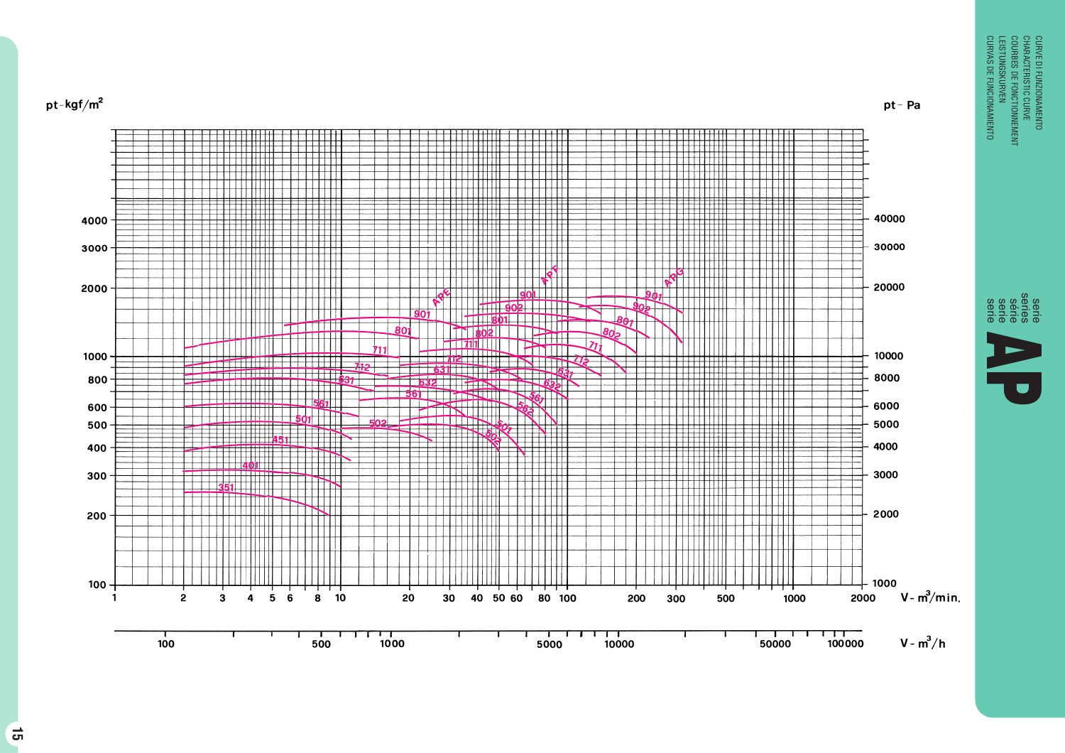

CURVE DI FUNZIONAMENTO<br>COURBES DE FONCTIONNEMENT<br>COURBES DE FONCTIONNEMENT<br>LEISTUNGSKURVEN<br>CURVAS DE FUNCIONAMIENTO LEISTUNGSKURVEN COURBES DE FONCTIONNEMENT CHARACTERISTIC CURVE CURVE DI FUNZIONAMENTO

 $pt - Pa$ 

serie series serie serie série **APPLIES DE FONCTIONNEMENT<br>COURRES DE FONCTIONNEMENT<br>LEISTUNGSKURYEN<br>CURYAS DE FUNCIONAMIENTO**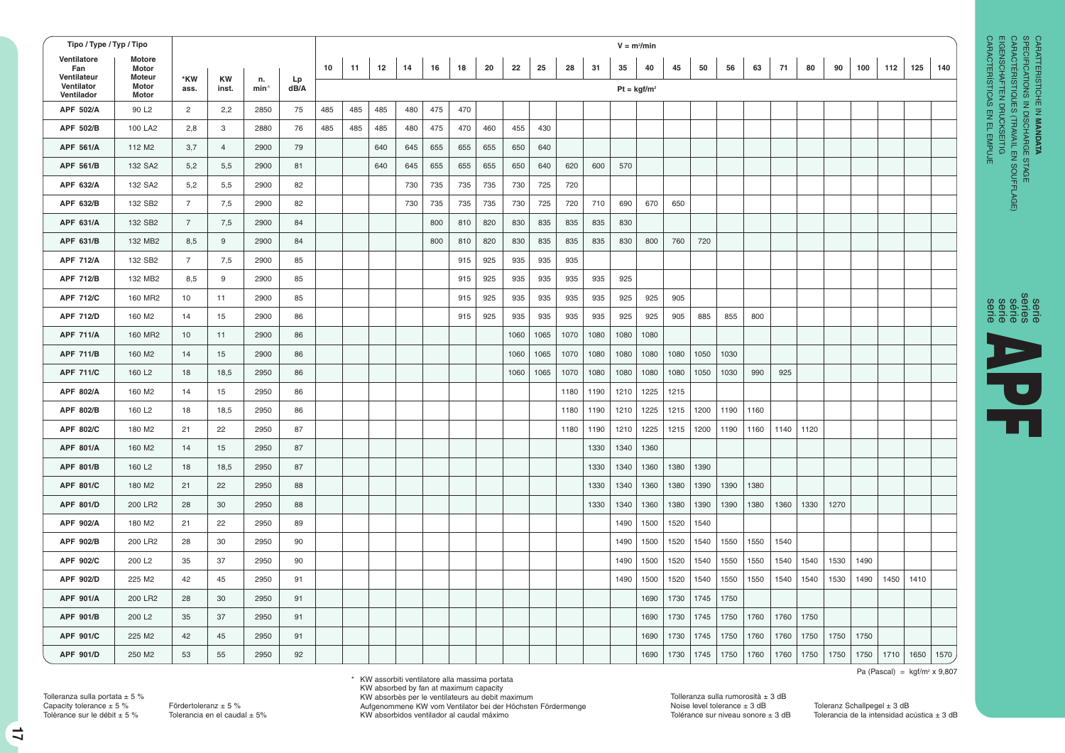| Tipo / Type / Typ / Tipo                |                          |                |                    |               |            |     |     |     |     |     |     |     |      |      | $V = m3/min$ |      |      |               |      |      |      |      |      |      |      |      |      |      |      |
|-----------------------------------------|--------------------------|----------------|--------------------|---------------|------------|-----|-----|-----|-----|-----|-----|-----|------|------|--------------|------|------|---------------|------|------|------|------|------|------|------|------|------|------|------|
| Ventilatore<br>Fan                      | Motore<br>Motor          |                |                    |               |            | 10  | 11  | 12  | 14  | 16  | 18  | 20  | 22   | 25   | 28           | 31   | 35   | 40            | 45   | 50   | 56   | 63   | 71   | 80   | 90   | 100  | 112  | 125  | 140  |
| Ventilateur<br>Ventilator<br>Ventilador | Moteur<br>Motor<br>Motor | *KW<br>ass.    | <b>KW</b><br>inst. | n.<br>$min-1$ | Lp<br>dB/A |     |     |     |     |     |     |     |      |      |              |      |      | $Pt = kgf/m2$ |      |      |      |      |      |      |      |      |      |      |      |
| APF 502/A                               | 90 L <sub>2</sub>        | $\overline{2}$ | 2,2                | 2850          | 75         | 485 | 485 | 485 | 480 | 475 | 470 |     |      |      |              |      |      |               |      |      |      |      |      |      |      |      |      |      |      |
| APF 502/B                               | 100 LA2                  | 2,8            | 3                  | 2880          | 76         | 485 | 485 | 485 | 480 | 475 | 470 | 460 | 455  | 430  |              |      |      |               |      |      |      |      |      |      |      |      |      |      |      |
| APF 561/A                               | 112 M <sub>2</sub>       | 3,7            | $\overline{4}$     | 2900          | 79         |     |     | 640 | 645 | 655 | 655 | 655 | 650  | 640  |              |      |      |               |      |      |      |      |      |      |      |      |      |      |      |
| APF 561/B                               | 132 SA2                  | 5,2            | 5,5                | 2900          | 81         |     |     | 640 | 645 | 655 | 655 | 655 | 650  | 640  | 620          | 600  | 570  |               |      |      |      |      |      |      |      |      |      |      |      |
| APF 632/A                               | 132 SA2                  | 5,2            | 5,5                | 2900          | 82         |     |     |     | 730 | 735 | 735 | 735 | 730  | 725  | 720          |      |      |               |      |      |      |      |      |      |      |      |      |      |      |
| APF 632/B                               | 132 SB2                  | $\overline{7}$ | 7,5                | 2900          | 82         |     |     |     | 730 | 735 | 735 | 735 | 730  | 725  | 720          | 710  | 690  | 670           | 650  |      |      |      |      |      |      |      |      |      |      |
| APF 631/A                               | 132 SB2                  | $\overline{7}$ | 7,5                | 2900          | 84         |     |     |     |     | 800 | 810 | 820 | 830  | 835  | 835          | 835  | 830  |               |      |      |      |      |      |      |      |      |      |      |      |
| APF 631/B                               | 132 MB2                  | 8,5            | 9                  | 2900          | 84         |     |     |     |     | 800 | 810 | 820 | 830  | 835  | 835          | 835  | 830  | 800           | 760  | 720  |      |      |      |      |      |      |      |      |      |
| <b>APF 712/A</b>                        | 132 SB2                  | $\overline{7}$ | 7,5                | 2900          | 85         |     |     |     |     |     | 915 | 925 | 935  | 935  | 935          |      |      |               |      |      |      |      |      |      |      |      |      |      |      |
| <b>APF 712/B</b>                        | 132 MB2                  | 8,5            | 9                  | 2900          | 85         |     |     |     |     |     | 915 | 925 | 935  | 935  | 935          | 935  | 925  |               |      |      |      |      |      |      |      |      |      |      |      |
| <b>APF 712/C</b>                        | 160 MR2                  | 10             | 11                 | 2900          | 85         |     |     |     |     |     | 915 | 925 | 935  | 935  | 935          | 935  | 925  | 925           | 905  |      |      |      |      |      |      |      |      |      |      |
| <b>APF 712/D</b>                        | 160 M2                   | 14             | 15                 | 2900          | 86         |     |     |     |     |     | 915 | 925 | 935  | 935  | 935          | 935  | 925  | 925           | 905  | 885  | 855  | 800  |      |      |      |      |      |      |      |
| <b>APF 711/A</b>                        | 160 MR2                  | 10             | 11                 | 2900          | 86         |     |     |     |     |     |     |     | 1060 | 1065 | 1070         | 1080 | 1080 | 1080          |      |      |      |      |      |      |      |      |      |      |      |
| <b>APF 711/B</b>                        | 160 M2                   | 14             | 15                 | 2900          | 86         |     |     |     |     |     |     |     | 1060 | 1065 | 1070         | 1080 | 1080 | 1080          | 1080 | 1050 | 1030 |      |      |      |      |      |      |      |      |
| <b>APF 711/C</b>                        | 160 L <sub>2</sub>       | 18             | 18,5               | 2950          | 86         |     |     |     |     |     |     |     | 1060 | 1065 | 1070         | 1080 | 1080 | 1080          | 1080 | 1050 | 1030 | 990  | 925  |      |      |      |      |      |      |
| APF 802/A                               | 160 M2                   | 14             | 15                 | 2950          | 86         |     |     |     |     |     |     |     |      |      | 1180         | 1190 | 1210 | 1225          | 1215 |      |      |      |      |      |      |      |      |      |      |
| APF 802/B                               | 160 L <sub>2</sub>       | 18             | 18,5               | 2950          | 86         |     |     |     |     |     |     |     |      |      | 1180         | 1190 | 1210 | 1225          | 1215 | 1200 | 1190 | 1160 |      |      |      |      |      |      |      |
| APF 802/C                               | 180 M2                   | 21             | 22                 | 2950          | 87         |     |     |     |     |     |     |     |      |      | 1180         | 1190 | 1210 | 1225          | 1215 | 1200 | 1190 | 1160 | 1140 | 1120 |      |      |      |      |      |
| APF 801/A                               | 160 M2                   | 14             | 15                 | 2950          | 87         |     |     |     |     |     |     |     |      |      |              | 1330 | 1340 | 1360          |      |      |      |      |      |      |      |      |      |      |      |
| APF 801/B                               | 160 L <sub>2</sub>       | 18             | 18,5               | 2950          | 87         |     |     |     |     |     |     |     |      |      |              | 1330 | 1340 | 1360          | 1380 | 1390 |      |      |      |      |      |      |      |      |      |
| APF 801/C                               | 180 M2                   | 21             | 22                 | 2950          | 88         |     |     |     |     |     |     |     |      |      |              | 1330 | 1340 | 1360          | 1380 | 1390 | 1390 | 1380 |      |      |      |      |      |      |      |
| APF 801/D                               | 200 LR2                  | 28             | 30                 | 2950          | 88         |     |     |     |     |     |     |     |      |      |              | 1330 | 1340 | 1360          | 1380 | 1390 | 1390 | 1380 | 1360 | 1330 | 1270 |      |      |      |      |
| APF 902/A                               | 180 M2                   | 21             | 22                 | 2950          | 89         |     |     |     |     |     |     |     |      |      |              |      | 1490 | 1500          | 1520 | 1540 |      |      |      |      |      |      |      |      |      |
| APF 902/B                               | 200 LR2                  | 28             | 30                 | 2950          | 90         |     |     |     |     |     |     |     |      |      |              |      | 1490 | 1500          | 1520 | 1540 | 1550 | 1550 | 1540 |      |      |      |      |      |      |
| APF 902/C                               | 200 L <sub>2</sub>       | 35             | 37                 | 2950          | 90         |     |     |     |     |     |     |     |      |      |              |      | 1490 | 1500          | 1520 | 1540 | 1550 | 1550 | 1540 | 1540 | 1530 | 1490 |      |      |      |
| APF 902/D                               | 225 M2                   | 42             | 45                 | 2950          | 91         |     |     |     |     |     |     |     |      |      |              |      | 1490 | 1500          | 1520 | 1540 | 1550 | 1550 | 1540 | 1540 | 1530 | 1490 | 1450 | 1410 |      |
| APF 901/A                               | 200 LR2                  | 28             | 30                 | 2950          | 91         |     |     |     |     |     |     |     |      |      |              |      |      | 1690          | 1730 | 1745 | 1750 |      |      |      |      |      |      |      |      |
| APF 901/B                               | 200 L <sub>2</sub>       | 35             | 37                 | 2950          | 91         |     |     |     |     |     |     |     |      |      |              |      |      | 1690          | 1730 | 1745 | 1750 | 1760 | 1760 | 1750 |      |      |      |      |      |
| APF 901/C                               | 225 M2                   | 42             | 45                 | 2950          | 91         |     |     |     |     |     |     |     |      |      |              |      |      | 1690          | 1730 | 1745 | 1750 | 1760 | 1760 | 1750 | 1750 | 1750 |      |      |      |
| APF 901/D                               | 250 M2                   | 53             | 55                 | 2950          | 92         |     |     |     |     |     |     |     |      |      |              |      |      | 1690          | 1730 | 1745 | 1750 | 1760 | 1760 | 1750 | 1750 | 1750 | 1710 | 1650 | 1570 |

CARACTERÍSTICAS EN EL EMPUJE EIGENSCHAFTEN DRUCKSEITIG CARACTÉRISTIQUES (TRAVAIL EN SOUFFLAGE)



Pa (Pascal) =  $kgf/m^2 \times 9,807$ 

\* KW assorbiti ventilatore alla massima portata

KW absorbed by fan at maximum capacity KW absorbès per le ventilateurs au debit maximum

Aufgenommene KW vom Ventilator bei der Höchsten Fördermenge KW absorbidos ventilador al caudal máximo

Tolerancia de la intensidad acústica  $\pm$  3 dB

Tolleranza sulla portata  $\pm$  5 %

**17**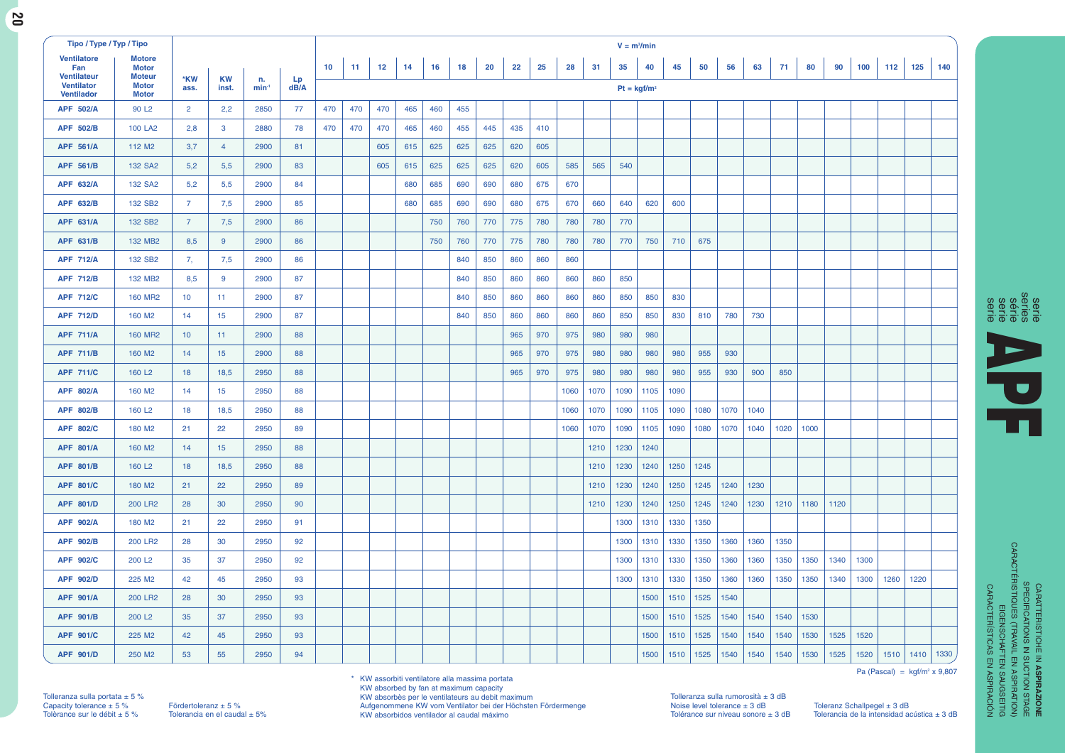| ۰,<br>v.<br>۰. |
|----------------|

| Tipo / Type / Typ / Tipo                                             |                                                                |                 |                    |               |            |     |     |     |     |     |     |     |     |     |      |      | $V = m3/min$  |      |      |      |      |      |      |      |      |      |      |      |      |
|----------------------------------------------------------------------|----------------------------------------------------------------|-----------------|--------------------|---------------|------------|-----|-----|-----|-----|-----|-----|-----|-----|-----|------|------|---------------|------|------|------|------|------|------|------|------|------|------|------|------|
| <b>Ventilatore</b><br>Fan<br><b>Ventilateur</b><br><b>Ventilator</b> | <b>Motore</b><br><b>Motor</b><br><b>Moteur</b><br><b>Motor</b> | *KW<br>ass.     | <b>KW</b><br>inst. | n.<br>$min-1$ | Lp<br>dB/A | 10  | 11  | 12  | 14  | 16  | 18  | 20  | 22  | 25  | 28   | 31   | 35            | 40   | 45   | 50   | 56   | 63   | 71   | 80   | 90   | 100  | 112  | 125  | 140  |
| <b>Ventilador</b>                                                    | <b>Motor</b>                                                   |                 |                    |               |            |     |     |     |     |     |     |     |     |     |      |      | $Pt = kgf/m2$ |      |      |      |      |      |      |      |      |      |      |      |      |
| <b>APF 502/A</b>                                                     | 90 L <sub>2</sub>                                              | $\overline{2}$  | 2,2                | 2850          | 77         | 470 | 470 | 470 | 465 | 460 | 455 |     |     |     |      |      |               |      |      |      |      |      |      |      |      |      |      |      |      |
| APF 502/B                                                            | <b>100 LA2</b>                                                 | 2,8             | $\mathbf{3}$       | 2880          | 78         | 470 | 470 | 470 | 465 | 460 | 455 | 445 | 435 | 410 |      |      |               |      |      |      |      |      |      |      |      |      |      |      |      |
| <b>APF 561/A</b>                                                     | 112 M <sub>2</sub>                                             | 3,7             | $\overline{4}$     | 2900          | 81         |     |     | 605 | 615 | 625 | 625 | 625 | 620 | 605 |      |      |               |      |      |      |      |      |      |      |      |      |      |      |      |
| <b>APF 561/B</b>                                                     | 132 SA2                                                        | 5,2             | 5,5                | 2900          | 83         |     |     | 605 | 615 | 625 | 625 | 625 | 620 | 605 | 585  | 565  | 540           |      |      |      |      |      |      |      |      |      |      |      |      |
| APF 632/A                                                            | 132 SA2                                                        | 5,2             | 5,5                | 2900          | 84         |     |     |     | 680 | 685 | 690 | 690 | 680 | 675 | 670  |      |               |      |      |      |      |      |      |      |      |      |      |      |      |
| APF 632/B                                                            | 132 SB2                                                        | $\overline{7}$  | 7,5                | 2900          | 85         |     |     |     | 680 | 685 | 690 | 690 | 680 | 675 | 670  | 660  | 640           | 620  | 600  |      |      |      |      |      |      |      |      |      |      |
| APF 631/A                                                            | 132 SB2                                                        | $\overline{7}$  | 7,5                | 2900          | 86         |     |     |     |     | 750 | 760 | 770 | 775 | 780 | 780  | 780  | 770           |      |      |      |      |      |      |      |      |      |      |      |      |
| APF 631/B                                                            | 132 MB2                                                        | 8,5             | 9                  | 2900          | 86         |     |     |     |     | 750 | 760 | 770 | 775 | 780 | 780  | 780  | 770           | 750  | 710  | 675  |      |      |      |      |      |      |      |      |      |
| <b>APF 712/A</b>                                                     | 132 SB2                                                        | 7,              | 7,5                | 2900          | 86         |     |     |     |     |     | 840 | 850 | 860 | 860 | 860  |      |               |      |      |      |      |      |      |      |      |      |      |      |      |
| <b>APF 712/B</b>                                                     | 132 MB2                                                        | 8,5             | 9                  | 2900          | 87         |     |     |     |     |     | 840 | 850 | 860 | 860 | 860  | 860  | 850           |      |      |      |      |      |      |      |      |      |      |      |      |
| <b>APF 712/C</b>                                                     | <b>160 MR2</b>                                                 | 10              | 11                 | 2900          | 87         |     |     |     |     |     | 840 | 850 | 860 | 860 | 860  | 860  | 850           | 850  | 830  |      |      |      |      |      |      |      |      |      |      |
| <b>APF 712/D</b>                                                     | 160 M <sub>2</sub>                                             | 14              | 15                 | 2900          | 87         |     |     |     |     |     | 840 | 850 | 860 | 860 | 860  | 860  | 850           | 850  | 830  | 810  | 780  | 730  |      |      |      |      |      |      |      |
| <b>APF 711/A</b>                                                     | <b>160 MR2</b>                                                 | 10 <sup>°</sup> | 11                 | 2900          | 88         |     |     |     |     |     |     |     | 965 | 970 | 975  | 980  | 980           | 980  |      |      |      |      |      |      |      |      |      |      |      |
| <b>APF 711/B</b>                                                     | 160 M <sub>2</sub>                                             | 14              | 15                 | 2900          | 88         |     |     |     |     |     |     |     | 965 | 970 | 975  | 980  | 980           | 980  | 980  | 955  | 930  |      |      |      |      |      |      |      |      |
| <b>APF 711/C</b>                                                     | 160 L <sub>2</sub>                                             | 18              | 18,5               | 2950          | 88         |     |     |     |     |     |     |     | 965 | 970 | 975  | 980  | 980           | 980  | 980  | 955  | 930  | 900  | 850  |      |      |      |      |      |      |
| APF 802/A                                                            | 160 M <sub>2</sub>                                             | 14              | 15                 | 2950          | 88         |     |     |     |     |     |     |     |     |     | 1060 | 1070 | 1090          | 1105 | 1090 |      |      |      |      |      |      |      |      |      |      |
| <b>APF 802/B</b>                                                     | 160 L <sub>2</sub>                                             | 18              | 18,5               | 2950          | 88         |     |     |     |     |     |     |     |     |     | 1060 | 1070 | 1090          | 1105 | 1090 | 1080 | 1070 | 1040 |      |      |      |      |      |      |      |
| <b>APF 802/C</b>                                                     | 180 M <sub>2</sub>                                             | 21              | 22                 | 2950          | 89         |     |     |     |     |     |     |     |     |     | 1060 | 1070 | 1090          | 1105 | 1090 | 1080 | 1070 | 1040 | 1020 | 1000 |      |      |      |      |      |
| <b>APF 801/A</b>                                                     | 160 M <sub>2</sub>                                             | 14              | 15                 | 2950          | 88         |     |     |     |     |     |     |     |     |     |      | 1210 | 1230          | 1240 |      |      |      |      |      |      |      |      |      |      |      |
| APF 801/B                                                            | 160 L <sub>2</sub>                                             | 18              | 18,5               | 2950          | 88         |     |     |     |     |     |     |     |     |     |      | 1210 | 1230          | 1240 | 1250 | 1245 |      |      |      |      |      |      |      |      |      |
| <b>APF 801/C</b>                                                     | 180 M <sub>2</sub>                                             | 21              | 22                 | 2950          | 89         |     |     |     |     |     |     |     |     |     |      | 1210 | 1230          | 1240 | 1250 | 1245 | 1240 | 1230 |      |      |      |      |      |      |      |
| <b>APF 801/D</b>                                                     | 200 LR2                                                        | 28              | 30                 | 2950          | 90         |     |     |     |     |     |     |     |     |     |      | 1210 | 1230          | 1240 | 1250 | 1245 | 1240 | 1230 | 1210 | 1180 | 1120 |      |      |      |      |
| <b>APF 902/A</b>                                                     | 180 M <sub>2</sub>                                             | 21              | 22                 | 2950          | 91         |     |     |     |     |     |     |     |     |     |      |      | 1300          | 1310 | 1330 | 1350 |      |      |      |      |      |      |      |      |      |
| <b>APF 902/B</b>                                                     | <b>200 LR2</b>                                                 | 28              | 30                 | 2950          | 92         |     |     |     |     |     |     |     |     |     |      |      | 1300          | 1310 | 1330 | 1350 | 1360 | 1360 | 1350 |      |      |      |      |      |      |
| <b>APF 902/C</b>                                                     | 200 L <sub>2</sub>                                             | 35              | 37                 | 2950          | 92         |     |     |     |     |     |     |     |     |     |      |      | 1300          | 1310 | 1330 | 1350 | 1360 | 1360 | 1350 | 1350 | 1340 | 1300 |      |      |      |
| APF 902/D                                                            | 225 M2                                                         | 42              | 45                 | 2950          | 93         |     |     |     |     |     |     |     |     |     |      |      | 1300          | 1310 | 1330 | 1350 | 1360 | 1360 | 1350 | 1350 | 1340 | 1300 | 1260 | 1220 |      |
| <b>APF 901/A</b>                                                     | <b>200 LR2</b>                                                 | 28              | 30                 | 2950          | 93         |     |     |     |     |     |     |     |     |     |      |      |               | 1500 | 1510 | 1525 | 1540 |      |      |      |      |      |      |      |      |
| <b>APF 901/B</b>                                                     | 200 L <sub>2</sub>                                             | 35              | 37                 | 2950          | 93         |     |     |     |     |     |     |     |     |     |      |      |               | 1500 | 1510 | 1525 | 1540 | 1540 | 1540 | 1530 |      |      |      |      |      |
| <b>APF 901/C</b>                                                     | 225 M <sub>2</sub>                                             | 42              | 45                 | 2950          | 93         |     |     |     |     |     |     |     |     |     |      |      |               | 1500 | 1510 | 1525 | 1540 | 1540 | 1540 | 1530 | 1525 | 1520 |      |      |      |
| <b>APF 901/D</b>                                                     | 250 M2                                                         | 53              | 55                 | 2950          | 94         |     |     |     |     |     |     |     |     |     |      |      |               | 1500 | 1510 | 1525 | 1540 | 1540 | 1540 | 1530 | 1525 | 1520 | 1510 | 1410 | 1330 |



CARATTERISTICHE IN **ASPIRAZIONE**<br>SPECIFICATIONS IN SUCTION STAGE<br>CARACTÉRISTIQUES (TRAVAIL EN ASPIRATION)<br>EIGENSCHAFTEN SAUGSETIG<br>CARACTERISTICAS EN ASPIRACIÓN<br>CARACTERISTICAS EN ASPIRACIÓN CARACTÉRISTIQUES (TRAVAIL EN ASPIRATION) SPECIFICATIONS IN SUCTION STAGE CARATTERISTICHE IN CARACTERÍSTICAS EN ASPIRACIÓN EIGENSCHAFTEN SAUGSEITIG **ASPIRAZIONE**

Tolleranza sulla portata ± 5 %<br>Capacity tolerance ± 5 % Fördertoleranz ± 5 %<br>Tolerance sur le débit ± 5 % Tolerancia en el caudal ± 5%

\* KW assorbiti ventilatore alla massima portata KW absorbed by fan at maximum capacity

KW absorbès per le ventilateurs au debit maximum Aufgenommene KW vom Ventilator bei der Höchsten Fördermenge KW absorbidos ventilador al caudal máximo

Tolleranza sulla rumorosità ± 3 dB

Noise level tolerance ± 3 dB Toleranz Schallpegel ± 3 dB Tolérance sur niveau sonore ± 3 dB Tolerancia de la intensidad acústica ± 3 dB

Pa (Pascal) =  $kgf/m^2 \times 9,807$